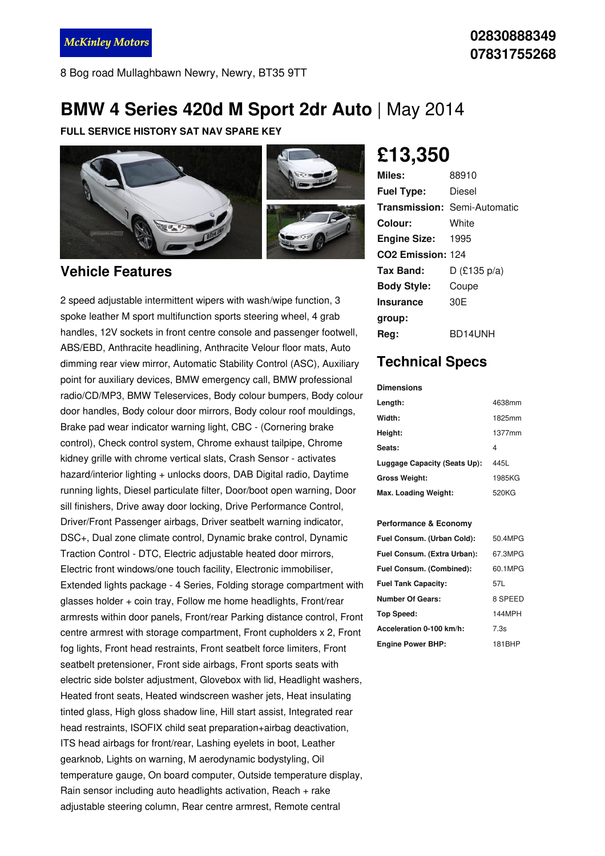## **BMW 4 Series 420d M Sport 2dr Auto** | May 2014

**FULL SERVICE HISTORY SAT NAV SPARE KEY**



### **Vehicle Features**

2 speed adjustable intermittent wipers with wash/wipe function, 3 spoke leather M sport multifunction sports steering wheel, 4 grab handles, 12V sockets in front centre console and passenger footwell, ABS/EBD, Anthracite headlining, Anthracite Velour floor mats, Auto dimming rear view mirror, Automatic Stability Control (ASC), Auxiliary point for auxiliary devices, BMW emergency call, BMW professional radio/CD/MP3, BMW Teleservices, Body colour bumpers, Body colour door handles, Body colour door mirrors, Body colour roof mouldings, Brake pad wear indicator warning light, CBC - (Cornering brake control), Check control system, Chrome exhaust tailpipe, Chrome kidney grille with chrome vertical slats, Crash Sensor - activates hazard/interior lighting + unlocks doors, DAB Digital radio, Daytime running lights, Diesel particulate filter, Door/boot open warning, Door sill finishers, Drive away door locking, Drive Performance Control, Driver/Front Passenger airbags, Driver seatbelt warning indicator, DSC+, Dual zone climate control, Dynamic brake control, Dynamic Traction Control - DTC, Electric adjustable heated door mirrors, Electric front windows/one touch facility, Electronic immobiliser, Extended lights package - 4 Series, Folding storage compartment with glasses holder + coin tray, Follow me home headlights, Front/rear armrests within door panels, Front/rear Parking distance control, Front centre armrest with storage compartment, Front cupholders x 2, Front fog lights, Front head restraints, Front seatbelt force limiters, Front seatbelt pretensioner, Front side airbags, Front sports seats with electric side bolster adjustment, Glovebox with lid, Headlight washers, Heated front seats, Heated windscreen washer jets, Heat insulating tinted glass, High gloss shadow line, Hill start assist, Integrated rear head restraints, ISOFIX child seat preparation+airbag deactivation, ITS head airbags for front/rear, Lashing eyelets in boot, Leather gearknob, Lights on warning, M aerodynamic bodystyling, Oil temperature gauge, On board computer, Outside temperature display, Rain sensor including auto headlights activation, Reach + rake adjustable steering column, Rear centre armrest, Remote central

# **£13,350**

| Miles:                        | 88910                               |
|-------------------------------|-------------------------------------|
| <b>Fuel Type:</b>             | Diesel                              |
|                               | <b>Transmission: Semi-Automatic</b> |
| Colour:                       | White                               |
| Engine Size: 1995             |                                     |
| CO <sub>2</sub> Emission: 124 |                                     |
| Tax Band:                     | $D$ (£135 p/a)                      |
| <b>Body Style:</b>            | Coupe                               |
| <b>Insurance</b>              | 30 <sub>F</sub>                     |
| group:                        |                                     |
| Rea:                          | BD14UNH                             |

### **Technical Specs**

#### **Dimensions**

| Length:                      | 4638mm |
|------------------------------|--------|
| Width:                       | 1825mm |
| Height:                      | 1377mm |
| Seats:                       | 4      |
| Luggage Capacity (Seats Up): | 445L   |
| <b>Gross Weight:</b>         | 1985KG |
| Max. Loading Weight:         | 520KG  |

#### **Performance & Economy**

| Fuel Consum. (Urban Cold):  | 50.4MPG |
|-----------------------------|---------|
| Fuel Consum. (Extra Urban): | 67.3MPG |
| Fuel Consum. (Combined):    | 60.1MPG |
| <b>Fuel Tank Capacity:</b>  | 57L     |
| <b>Number Of Gears:</b>     | 8 SPEED |
| Top Speed:                  | 144MPH  |
| Acceleration 0-100 km/h:    | 7.3s    |
| <b>Engine Power BHP:</b>    | 181BHP  |